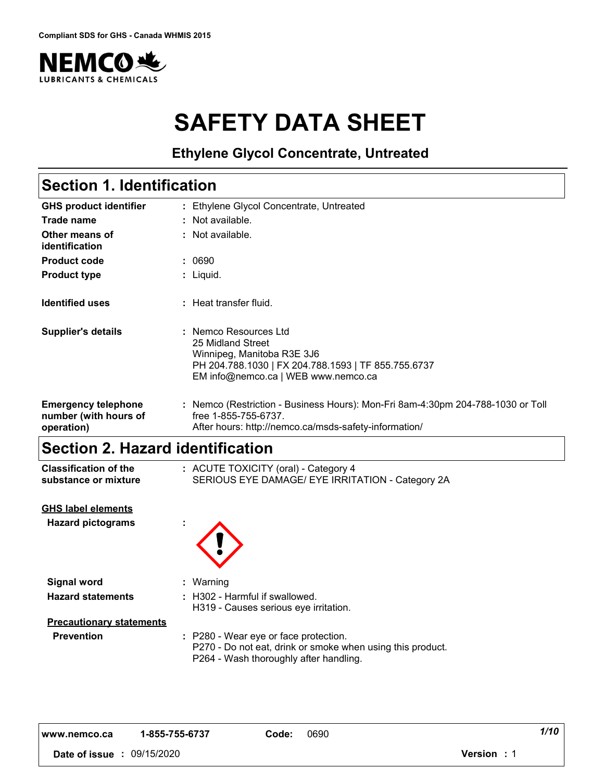

# **SAFETY DATA SHEET**

**Ethylene Glycol Concentrate, Untreated**

### **Section 1. Identification**

| <b>GHS product identifier</b>                                     | Ethylene Glycol Concentrate, Untreated                                                                                                                                 |  |  |
|-------------------------------------------------------------------|------------------------------------------------------------------------------------------------------------------------------------------------------------------------|--|--|
| Trade name                                                        | : Not available.                                                                                                                                                       |  |  |
| Other means of<br>identification                                  | : Not available.                                                                                                                                                       |  |  |
| <b>Product code</b>                                               | : 0690                                                                                                                                                                 |  |  |
| <b>Product type</b>                                               | : Liquid.                                                                                                                                                              |  |  |
| <b>Identified uses</b>                                            | : Heat transfer fluid.                                                                                                                                                 |  |  |
| <b>Supplier's details</b>                                         | : Nemco Resources Ltd<br>25 Midland Street<br>Winnipeg, Manitoba R3E 3J6<br>PH 204.788.1030   FX 204.788.1593   TF 855.755.6737<br>EM info@nemco.ca   WEB www.nemco.ca |  |  |
| <b>Emergency telephone</b><br>number (with hours of<br>operation) | : Nemco (Restriction - Business Hours): Mon-Fri 8am-4:30pm 204-788-1030 or Toll<br>free 1-855-755-6737.<br>After hours: http://nemco.ca/msds-safety-information/       |  |  |

### **Section 2. Hazard identification**

| <b>Classification of the</b><br>substance or mixture | : ACUTE TOXICITY (oral) - Category 4<br>SERIOUS EYE DAMAGE/ EYE IRRITATION - Category 2A                                                      |  |  |
|------------------------------------------------------|-----------------------------------------------------------------------------------------------------------------------------------------------|--|--|
| <b>GHS label elements</b>                            |                                                                                                                                               |  |  |
| <b>Hazard pictograms</b>                             |                                                                                                                                               |  |  |
| <b>Signal word</b>                                   | $:$ Warning                                                                                                                                   |  |  |
| <b>Hazard statements</b>                             | : H302 - Harmful if swallowed.<br>H319 - Causes serious eye irritation.                                                                       |  |  |
| <b>Precautionary statements</b>                      |                                                                                                                                               |  |  |
| <b>Prevention</b>                                    | : P280 - Wear eye or face protection.<br>P270 - Do not eat, drink or smoke when using this product.<br>P264 - Wash thoroughly after handling. |  |  |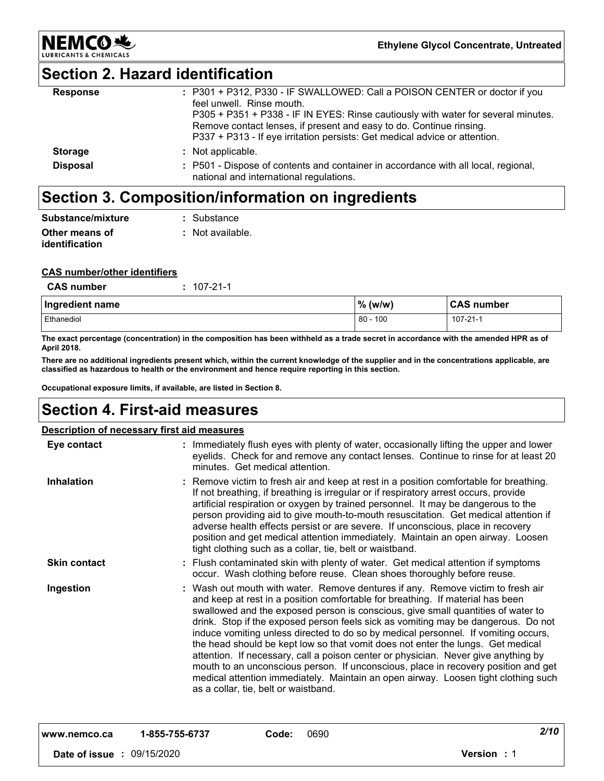

## **NEMCO头**

### **Section 2. Hazard identification**

| <b>Response</b> | : P301 + P312, P330 - IF SWALLOWED: Call a POISON CENTER or doctor if you<br>feel unwell. Rinse mouth.<br>P305 + P351 + P338 - IF IN EYES: Rinse cautiously with water for several minutes.<br>Remove contact lenses, if present and easy to do. Continue rinsing.<br>P337 + P313 - If eye irritation persists: Get medical advice or attention. |
|-----------------|--------------------------------------------------------------------------------------------------------------------------------------------------------------------------------------------------------------------------------------------------------------------------------------------------------------------------------------------------|
| <b>Storage</b>  | : Not applicable.                                                                                                                                                                                                                                                                                                                                |
| <b>Disposal</b> | : P501 - Dispose of contents and container in accordance with all local, regional,<br>national and international regulations.                                                                                                                                                                                                                    |

### **Section 3. Composition/information on ingredients**

| Substance/mixture     | : Substance:     |
|-----------------------|------------------|
| Other means of        | : Not available. |
| <b>identification</b> |                  |

#### **CAS number/other identifiers**

| CAS number | $: 107 - 21 - 1$ |
|------------|------------------|
|            |                  |

| Ingredient name | $\%$ (w/w)   | <b>CAS number</b> |
|-----------------|--------------|-------------------|
| Ethanediol      | .100<br>- 80 | 107-21-1          |

**The exact percentage (concentration) in the composition has been withheld as a trade secret in accordance with the amended HPR as of April 2018.**

**There are no additional ingredients present which, within the current knowledge of the supplier and in the concentrations applicable, are classified as hazardous to health or the environment and hence require reporting in this section.**

**Occupational exposure limits, if available, are listed in Section 8.**

### **Section 4. First-aid measures**

#### **Description of necessary first aid measures**

**Date of issue :** 09/15/2020 **Version :** 1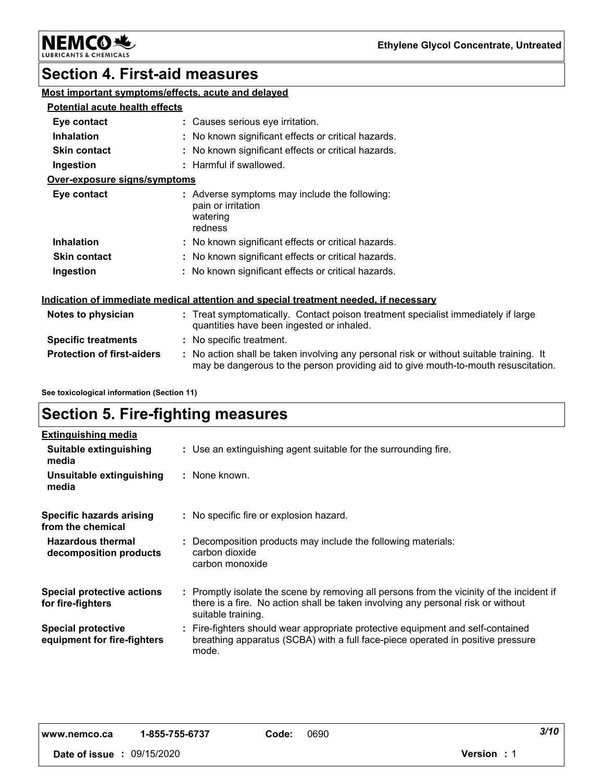

#### & CHEMICALS LUBRI

### **Section 4. First-aid measures**

| Most important symptoms/effects, acute and delayed |                                                                                                                                |  |  |
|----------------------------------------------------|--------------------------------------------------------------------------------------------------------------------------------|--|--|
| <b>Potential acute health effects</b>              |                                                                                                                                |  |  |
| Eye contact                                        | : Causes serious eye irritation.                                                                                               |  |  |
| <b>Inhalation</b>                                  | : No known significant effects or critical hazards.                                                                            |  |  |
| <b>Skin contact</b>                                | : No known significant effects or critical hazards.                                                                            |  |  |
| Ingestion                                          | : Harmful if swallowed.                                                                                                        |  |  |
| Over-exposure signs/symptoms                       |                                                                                                                                |  |  |
| Eye contact                                        | : Adverse symptoms may include the following:<br>pain or irritation<br>watering<br>redness                                     |  |  |
| <b>Inhalation</b>                                  | : No known significant effects or critical hazards.                                                                            |  |  |
| <b>Skin contact</b>                                | : No known significant effects or critical hazards.                                                                            |  |  |
| Ingestion                                          | : No known significant effects or critical hazards.                                                                            |  |  |
|                                                    | Indication of immediate medical attention and special treatment needed, if necessary                                           |  |  |
| Notes to physician                                 | : Treat symptomatically. Contact poison treatment specialist immediately if large<br>quantities have been ingested or inhaled. |  |  |

#### **Specific treatments :** No specific treatment.

| <b>Protection of first-aiders</b> | : No action shall be taken involving any personal risk or without suitable training. It |
|-----------------------------------|-----------------------------------------------------------------------------------------|
|                                   | may be dangerous to the person providing aid to give mouth-to-mouth resuscitation.      |

**See toxicological information (Section 11)**

### **Section 5. Fire-fighting measures**

| <u>Extinguishing media</u>                               |                                                                                                                                                                                                     |
|----------------------------------------------------------|-----------------------------------------------------------------------------------------------------------------------------------------------------------------------------------------------------|
| Suitable extinguishing<br>media                          | : Use an extinguishing agent suitable for the surrounding fire.                                                                                                                                     |
| Unsuitable extinguishing<br>media                        | : None known.                                                                                                                                                                                       |
| Specific hazards arising<br>from the chemical            | : No specific fire or explosion hazard.                                                                                                                                                             |
| <b>Hazardous thermal</b><br>decomposition products       | : Decomposition products may include the following materials:<br>carbon dioxide<br>carbon monoxide                                                                                                  |
| <b>Special protective actions</b><br>for fire-fighters   | : Promptly isolate the scene by removing all persons from the vicinity of the incident if<br>there is a fire. No action shall be taken involving any personal risk or without<br>suitable training. |
| <b>Special protective</b><br>equipment for fire-fighters | : Fire-fighters should wear appropriate protective equipment and self-contained<br>breathing apparatus (SCBA) with a full face-piece operated in positive pressure<br>mode.                         |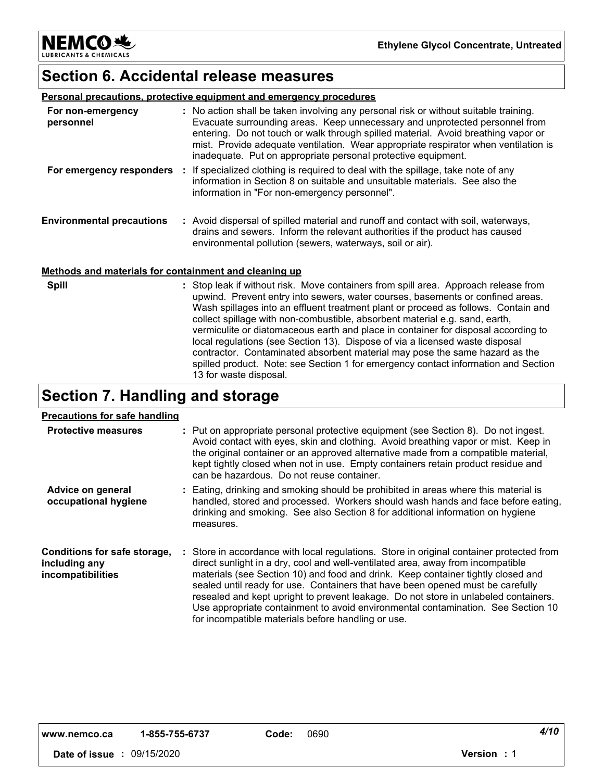**Ethylene Glycol Concentrate, Untreated**

NEMC055 **LUBRICANTS & CHEMICALS** 

### **Section 6. Accidental release measures**

|  | Personal precautions, protective equipment and emergency procedures |  |
|--|---------------------------------------------------------------------|--|
|  |                                                                     |  |

| For non-emergency<br>personnel                        | : No action shall be taken involving any personal risk or without suitable training.<br>Evacuate surrounding areas. Keep unnecessary and unprotected personnel from<br>entering. Do not touch or walk through spilled material. Avoid breathing vapor or<br>mist. Provide adequate ventilation. Wear appropriate respirator when ventilation is<br>inadequate. Put on appropriate personal protective equipment. |
|-------------------------------------------------------|------------------------------------------------------------------------------------------------------------------------------------------------------------------------------------------------------------------------------------------------------------------------------------------------------------------------------------------------------------------------------------------------------------------|
| For emergency responders                              | : If specialized clothing is required to deal with the spillage, take note of any<br>information in Section 8 on suitable and unsuitable materials. See also the<br>information in "For non-emergency personnel".                                                                                                                                                                                                |
| <b>Environmental precautions</b>                      | : Avoid dispersal of spilled material and runoff and contact with soil, waterways,<br>drains and sewers. Inform the relevant authorities if the product has caused<br>environmental pollution (sewers, waterways, soil or air).                                                                                                                                                                                  |
| Methods and materials for containment and cleaning up |                                                                                                                                                                                                                                                                                                                                                                                                                  |
| <b>Spill</b>                                          | : Stop leak if without risk. Move containers from spill area. Approach release from                                                                                                                                                                                                                                                                                                                              |

**Spill** Stop leak if without risk. Move containers from spill area. Approach release from upwind. Prevent entry into sewers, water courses, basements or confined areas. Wash spillages into an effluent treatment plant or proceed as follows. Contain and collect spillage with non-combustible, absorbent material e.g. sand, earth, vermiculite or diatomaceous earth and place in container for disposal according to local regulations (see Section 13). Dispose of via a licensed waste disposal contractor. Contaminated absorbent material may pose the same hazard as the spilled product. Note: see Section 1 for emergency contact information and Section 13 for waste disposal. **:**

### **Section 7. Handling and storage**

#### **Precautions for safe handling**

| <b>Protective measures</b>                                         | : Put on appropriate personal protective equipment (see Section 8). Do not ingest.<br>Avoid contact with eyes, skin and clothing. Avoid breathing vapor or mist. Keep in<br>the original container or an approved alternative made from a compatible material,<br>kept tightly closed when not in use. Empty containers retain product residue and<br>can be hazardous. Do not reuse container.                                                                                                                                                                                    |
|--------------------------------------------------------------------|------------------------------------------------------------------------------------------------------------------------------------------------------------------------------------------------------------------------------------------------------------------------------------------------------------------------------------------------------------------------------------------------------------------------------------------------------------------------------------------------------------------------------------------------------------------------------------|
| Advice on general<br>occupational hygiene                          | : Eating, drinking and smoking should be prohibited in areas where this material is<br>handled, stored and processed. Workers should wash hands and face before eating,<br>drinking and smoking. See also Section 8 for additional information on hygiene<br>measures.                                                                                                                                                                                                                                                                                                             |
| Conditions for safe storage,<br>including any<br>incompatibilities | : Store in accordance with local regulations. Store in original container protected from<br>direct sunlight in a dry, cool and well-ventilated area, away from incompatible<br>materials (see Section 10) and food and drink. Keep container tightly closed and<br>sealed until ready for use. Containers that have been opened must be carefully<br>resealed and kept upright to prevent leakage. Do not store in unlabeled containers.<br>Use appropriate containment to avoid environmental contamination. See Section 10<br>for incompatible materials before handling or use. |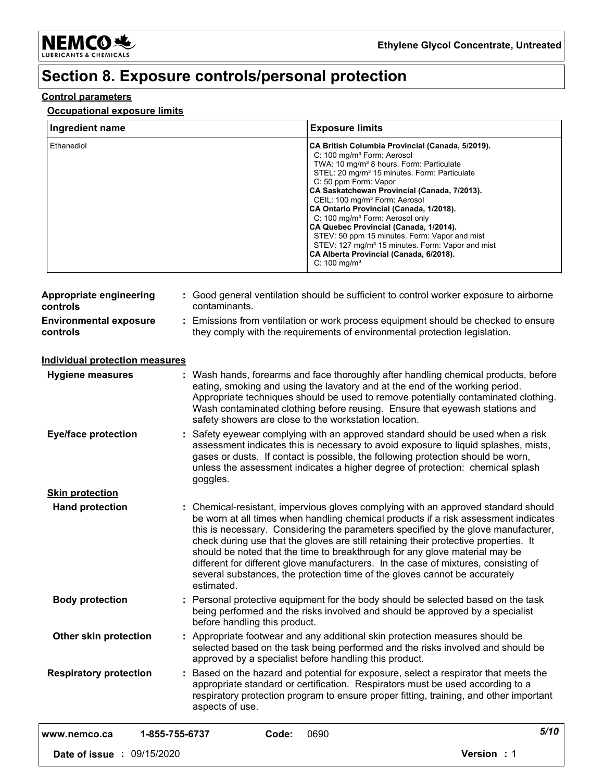



### **Section 8. Exposure controls/personal protection**

#### **Control parameters**

#### **Occupational exposure limits**

| Ingredient name | <b>Exposure limits</b>                                                                                                                                                                                                                                                                                                                                                                                                                                                                                                                                                                                                                                          |
|-----------------|-----------------------------------------------------------------------------------------------------------------------------------------------------------------------------------------------------------------------------------------------------------------------------------------------------------------------------------------------------------------------------------------------------------------------------------------------------------------------------------------------------------------------------------------------------------------------------------------------------------------------------------------------------------------|
| Ethanediol      | CA British Columbia Provincial (Canada, 5/2019).<br>C: 100 mg/m <sup>3</sup> Form: Aerosol<br>TWA: 10 mg/m <sup>3</sup> 8 hours. Form: Particulate<br>STEL: 20 mg/m <sup>3</sup> 15 minutes. Form: Particulate<br>C: 50 ppm Form: Vapor<br>CA Saskatchewan Provincial (Canada, 7/2013).<br>CEIL: 100 mg/m <sup>3</sup> Form: Aerosol<br>CA Ontario Provincial (Canada, 1/2018).<br>C: 100 mg/m <sup>3</sup> Form: Aerosol only<br>CA Quebec Provincial (Canada, 1/2014).<br>STEV: 50 ppm 15 minutes. Form: Vapor and mist<br>STEV: 127 mg/m <sup>3</sup> 15 minutes. Form: Vapor and mist<br>CA Alberta Provincial (Canada, 6/2018).<br>$C: 100 \text{ mg/m}^3$ |

| Appropriate engineering<br>controls       | $\colon$ Good general ventilation should be sufficient to control worker exposure to alroome<br>contaminants.                                                                                                                                                                                                                                                                                                                                                                                                                                                                                                             |      |
|-------------------------------------------|---------------------------------------------------------------------------------------------------------------------------------------------------------------------------------------------------------------------------------------------------------------------------------------------------------------------------------------------------------------------------------------------------------------------------------------------------------------------------------------------------------------------------------------------------------------------------------------------------------------------------|------|
| <b>Environmental exposure</b><br>controls | : Emissions from ventilation or work process equipment should be checked to ensure<br>they comply with the requirements of environmental protection legislation.                                                                                                                                                                                                                                                                                                                                                                                                                                                          |      |
| <b>Individual protection measures</b>     |                                                                                                                                                                                                                                                                                                                                                                                                                                                                                                                                                                                                                           |      |
| <b>Hygiene measures</b>                   | : Wash hands, forearms and face thoroughly after handling chemical products, before<br>eating, smoking and using the lavatory and at the end of the working period.<br>Appropriate techniques should be used to remove potentially contaminated clothing.<br>Wash contaminated clothing before reusing. Ensure that eyewash stations and<br>safety showers are close to the workstation location.                                                                                                                                                                                                                         |      |
| <b>Eye/face protection</b>                | : Safety eyewear complying with an approved standard should be used when a risk<br>assessment indicates this is necessary to avoid exposure to liquid splashes, mists,<br>gases or dusts. If contact is possible, the following protection should be worn,<br>unless the assessment indicates a higher degree of protection: chemical splash<br>goggles.                                                                                                                                                                                                                                                                  |      |
| <b>Skin protection</b>                    |                                                                                                                                                                                                                                                                                                                                                                                                                                                                                                                                                                                                                           |      |
| <b>Hand protection</b>                    | : Chemical-resistant, impervious gloves complying with an approved standard should<br>be worn at all times when handling chemical products if a risk assessment indicates<br>this is necessary. Considering the parameters specified by the glove manufacturer,<br>check during use that the gloves are still retaining their protective properties. It<br>should be noted that the time to breakthrough for any glove material may be<br>different for different glove manufacturers. In the case of mixtures, consisting of<br>several substances, the protection time of the gloves cannot be accurately<br>estimated. |      |
| <b>Body protection</b>                    | : Personal protective equipment for the body should be selected based on the task<br>being performed and the risks involved and should be approved by a specialist<br>before handling this product.                                                                                                                                                                                                                                                                                                                                                                                                                       |      |
| Other skin protection                     | : Appropriate footwear and any additional skin protection measures should be<br>selected based on the task being performed and the risks involved and should be<br>approved by a specialist before handling this product.                                                                                                                                                                                                                                                                                                                                                                                                 |      |
| <b>Respiratory protection</b>             | Based on the hazard and potential for exposure, select a respirator that meets the<br>appropriate standard or certification. Respirators must be used according to a<br>respiratory protection program to ensure proper fitting, training, and other important<br>aspects of use.                                                                                                                                                                                                                                                                                                                                         |      |
| www.nemco.ca                              | 1-855-755-6737<br>Code:<br>0690                                                                                                                                                                                                                                                                                                                                                                                                                                                                                                                                                                                           | 5/10 |
| Date of issue : 09/15/2020                | Version : 1                                                                                                                                                                                                                                                                                                                                                                                                                                                                                                                                                                                                               |      |
|                                           |                                                                                                                                                                                                                                                                                                                                                                                                                                                                                                                                                                                                                           |      |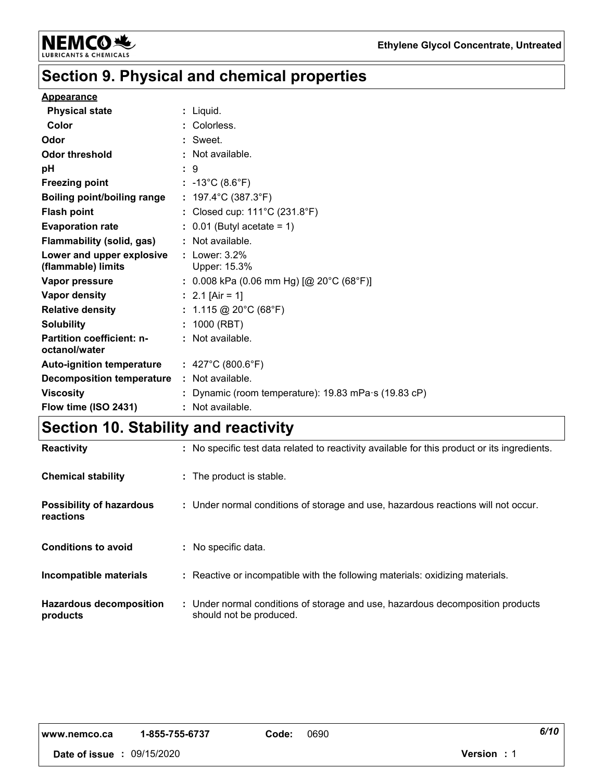

### **Section 9. Physical and chemical properties**

#### **Appearance**

| <b>Physical state</b>                             | : Liquid.                                                      |
|---------------------------------------------------|----------------------------------------------------------------|
| Color                                             | : Colorless.                                                   |
| Odor                                              | Sweet.                                                         |
| Odor threshold                                    | : Not available.                                               |
| pH                                                | : 9                                                            |
| <b>Freezing point</b>                             | : $-13^{\circ}$ C (8.6 $^{\circ}$ F)                           |
| <b>Boiling point/boiling range</b>                | : $197.4^{\circ}$ C (387.3 $^{\circ}$ F)                       |
| <b>Flash point</b>                                | : Closed cup: $111^{\circ}$ C (231.8 $^{\circ}$ F)             |
| <b>Evaporation rate</b>                           | $\therefore$ 0.01 (Butyl acetate = 1)                          |
| Flammability (solid, gas)                         | : Not available.                                               |
| Lower and upper explosive<br>(flammable) limits   | : Lower: $3.2\%$<br>Upper: 15.3%                               |
| Vapor pressure                                    | : $0.008$ kPa (0.06 mm Hg) [@ 20°C (68°F)]                     |
| <b>Vapor density</b>                              | : 2.1 [Air = 1]                                                |
| <b>Relative density</b>                           | : $1.115 \text{ @ } 20^{\circ} \text{C} (68^{\circ} \text{F})$ |
| <b>Solubility</b>                                 | : 1000 (RBT)                                                   |
| <b>Partition coefficient: n-</b><br>octanol/water | : Not available.                                               |
| <b>Auto-ignition temperature</b>                  | : 427°C (800.6°F)                                              |
| <b>Decomposition temperature</b>                  | : Not available.                                               |
| <b>Viscosity</b>                                  | Dynamic (room temperature): 19.83 mPa s (19.83 cP)             |
| Flow time (ISO 2431)                              | : Not available.                                               |

## **Section 10. Stability and reactivity**

| <b>Reactivity</b>                            | : No specific test data related to reactivity available for this product or its ingredients.              |
|----------------------------------------------|-----------------------------------------------------------------------------------------------------------|
| <b>Chemical stability</b>                    | : The product is stable.                                                                                  |
| <b>Possibility of hazardous</b><br>reactions | : Under normal conditions of storage and use, hazardous reactions will not occur.                         |
| <b>Conditions to avoid</b>                   | : No specific data.                                                                                       |
| Incompatible materials                       | : Reactive or incompatible with the following materials: oxidizing materials.                             |
| <b>Hazardous decomposition</b><br>products   | : Under normal conditions of storage and use, hazardous decomposition products<br>should not be produced. |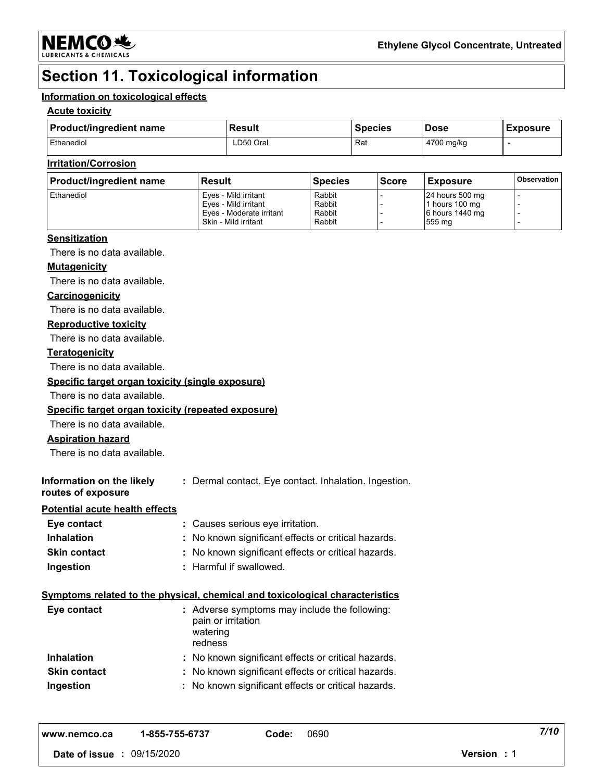

### **Section 11. Toxicological information**

#### **Information on toxicological effects**

#### **Acute toxicity**

| <b>Product/ingredient name</b> | <b>Result</b> | <b>Species</b> | <b>Dose</b> | <b>Exposure</b> |
|--------------------------------|---------------|----------------|-------------|-----------------|
| Ethanediol                     | LD50 Oral     | Rat            | 4700 mg/kg  |                 |

#### **Irritation/Corrosion**

| <b>Product/ingredient name</b> | <b>Result</b>            | <b>Species</b> | <b>Score</b> | <b>Exposure</b> | <b>Observation</b> |
|--------------------------------|--------------------------|----------------|--------------|-----------------|--------------------|
| Ethanediol                     | Eves - Mild irritant     | Rabbit         |              | 24 hours 500 mg |                    |
|                                | Eves - Mild irritant     | Rabbit         |              | 1 hours 100 mg  |                    |
|                                | Eves - Moderate irritant | Rabbit         |              | 6 hours 1440 mg |                    |
|                                | Skin - Mild irritant     | Rabbit         |              | 555 mg          |                    |

#### **Sensitization**

There is no data available.

#### **Mutagenicity**

There is no data available.

#### **Carcinogenicity**

There is no data available.

#### **Reproductive toxicity**

There is no data available.

#### **Teratogenicity**

There is no data available.

#### **Specific target organ toxicity (single exposure)**

There is no data available.

#### **Specific target organ toxicity (repeated exposure)**

There is no data available.

#### **Aspiration hazard**

There is no data available.

| Information on the likely | : Dermal contact. Eye contact. Inhalation. Ingestion. |
|---------------------------|-------------------------------------------------------|
| routes of exposure        |                                                       |

#### **Potential acute health effects**

| Eye contact         | : Causes serious eye irritation.                    |
|---------------------|-----------------------------------------------------|
| <b>Inhalation</b>   | : No known significant effects or critical hazards. |
| <b>Skin contact</b> | : No known significant effects or critical hazards. |
| Ingestion           | : Harmful if swallowed.                             |

#### **Symptoms related to the physical, chemical and toxicological characteristics**

| Eye contact         | : Adverse symptoms may include the following:<br>pain or irritation<br>watering<br>redness |
|---------------------|--------------------------------------------------------------------------------------------|
| <b>Inhalation</b>   | : No known significant effects or critical hazards.                                        |
| <b>Skin contact</b> | : No known significant effects or critical hazards.                                        |
| Ingestion           | : No known significant effects or critical hazards.                                        |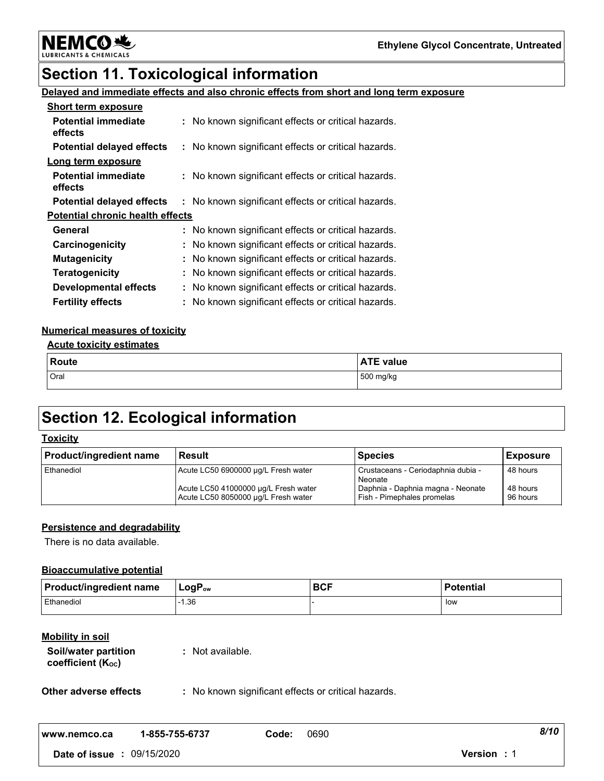**NEMCO头** 

### **Section 11. Toxicological information**

### **Delayed and immediate effects and also chronic effects from short and long term exposure**

| <b>Short term exposure</b>              |                                                     |
|-----------------------------------------|-----------------------------------------------------|
| <b>Potential immediate</b><br>effects   | : No known significant effects or critical hazards. |
| <b>Potential delayed effects</b>        | : No known significant effects or critical hazards. |
| Long term exposure                      |                                                     |
| <b>Potential immediate</b><br>effects   | : No known significant effects or critical hazards. |
| <b>Potential delayed effects</b>        | : No known significant effects or critical hazards. |
| <b>Potential chronic health effects</b> |                                                     |
| General                                 | : No known significant effects or critical hazards. |
| Carcinogenicity                         | : No known significant effects or critical hazards. |
| <b>Mutagenicity</b>                     | : No known significant effects or critical hazards. |
| <b>Teratogenicity</b>                   | : No known significant effects or critical hazards. |
| <b>Developmental effects</b>            | : No known significant effects or critical hazards. |
| <b>Fertility effects</b>                | : No known significant effects or critical hazards. |

#### **Numerical measures of toxicity**

### Oral 500 mg/kg **Route ATE** value **Acute toxicity estimates**

### **Section 12. Ecological information**

#### **Toxicity**

| <b>Product/ingredient name</b> | Result                                                                      | <b>Species</b>                                                  | <b>Exposure</b>      |
|--------------------------------|-----------------------------------------------------------------------------|-----------------------------------------------------------------|----------------------|
| Ethanediol                     | Acute LC50 6900000 µg/L Fresh water                                         | Crustaceans - Ceriodaphnia dubia -<br>Neonate                   | 48 hours             |
|                                | Acute LC50 41000000 µg/L Fresh water<br>Acute LC50 8050000 µg/L Fresh water | Daphnia - Daphnia magna - Neonate<br>Fish - Pimephales promelas | 48 hours<br>96 hours |

#### **Persistence and degradability**

There is no data available.

#### **Bioaccumulative potential**

| Product/ingredient name | $\mathsf{LogP}_\mathsf{ow}$ | <b>BCF</b> | <b>Potential</b> |
|-------------------------|-----------------------------|------------|------------------|
| Ethanediol              | 1.36                        |            | low              |

#### **Mobility in soil**

| Soil/water partition | : Not available. |
|----------------------|------------------|
| coefficient (Koc)    |                  |

**Other adverse effects** : No known significant effects or critical hazards.

| l www.nemco.ca | 1-855-755-6737 | Code: | 0690 | 8/10                  |  |
|----------------|----------------|-------|------|-----------------------|--|
| Date of issue  | 09/15/2020     |       |      | <b>Version</b><br>. . |  |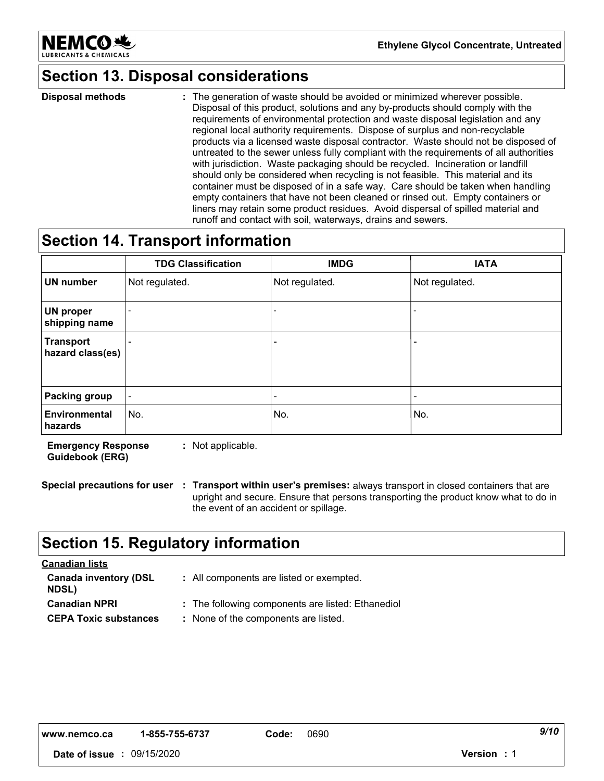

**Ethylene Glycol Concentrate, Untreated**

### **Section 13. Disposal considerations**

The generation of waste should be avoided or minimized wherever possible. Disposal of this product, solutions and any by-products should comply with the requirements of environmental protection and waste disposal legislation and any regional local authority requirements. Dispose of surplus and non-recyclable products via a licensed waste disposal contractor. Waste should not be disposed of untreated to the sewer unless fully compliant with the requirements of all authorities with jurisdiction. Waste packaging should be recycled. Incineration or landfill should only be considered when recycling is not feasible. This material and its container must be disposed of in a safe way. Care should be taken when handling empty containers that have not been cleaned or rinsed out. Empty containers or liners may retain some product residues. Avoid dispersal of spilled material and runoff and contact with soil, waterways, drains and sewers. **Disposal methods :**

### **Section 14. Transport information**

|                                      | <b>TDG Classification</b> | <b>IMDG</b>    | <b>IATA</b>    |
|--------------------------------------|---------------------------|----------------|----------------|
| <b>UN number</b>                     | Not regulated.            | Not regulated. | Not regulated. |
| UN proper<br>shipping name           |                           |                |                |
| <b>Transport</b><br>hazard class(es) |                           |                |                |
|                                      |                           |                |                |
| <b>Packing group</b>                 |                           |                |                |
| Environmental<br>hazards             | No.                       | No.            | No.            |

**Emergency Response Guidebook (ERG) :** Not applicable.

**Special precautions for user Transport within user's premises:** always transport in closed containers that are **:** upright and secure. Ensure that persons transporting the product know what to do in the event of an accident or spillage.

### **Section 15. Regulatory information**

| <b>Canadian lists</b>                 |                                                   |
|---------------------------------------|---------------------------------------------------|
| <b>Canada inventory (DSL</b><br>NDSL) | : All components are listed or exempted.          |
| <b>Canadian NPRI</b>                  | : The following components are listed: Ethanediol |
| <b>CEPA Toxic substances</b>          | : None of the components are listed.              |